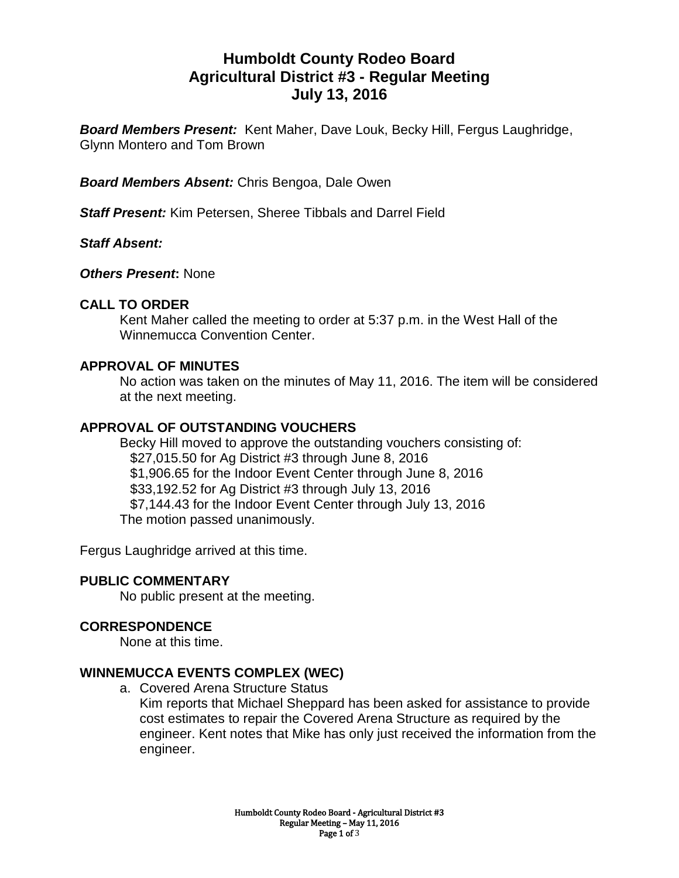# **Humboldt County Rodeo Board Agricultural District #3 - Regular Meeting July 13, 2016**

*Board Members Present:* Kent Maher, Dave Louk, Becky Hill, Fergus Laughridge, Glynn Montero and Tom Brown

*Board Members Absent:* Chris Bengoa, Dale Owen

*Staff Present:* Kim Petersen, Sheree Tibbals and Darrel Field

*Staff Absent:*

*Others Present***:** None

# **CALL TO ORDER**

Kent Maher called the meeting to order at 5:37 p.m. in the West Hall of the Winnemucca Convention Center.

# **APPROVAL OF MINUTES**

No action was taken on the minutes of May 11, 2016. The item will be considered at the next meeting.

# **APPROVAL OF OUTSTANDING VOUCHERS**

Becky Hill moved to approve the outstanding vouchers consisting of: \$27,015.50 for Ag District #3 through June 8, 2016 \$1,906.65 for the Indoor Event Center through June 8, 2016 \$33,192.52 for Ag District #3 through July 13, 2016 \$7,144.43 for the Indoor Event Center through July 13, 2016 The motion passed unanimously.

Fergus Laughridge arrived at this time.

# **PUBLIC COMMENTARY**

No public present at the meeting.

#### **CORRESPONDENCE**

None at this time.

#### **WINNEMUCCA EVENTS COMPLEX (WEC)**

a. Covered Arena Structure Status Kim reports that Michael Sheppard has been asked for assistance to provide cost estimates to repair the Covered Arena Structure as required by the engineer. Kent notes that Mike has only just received the information from the engineer.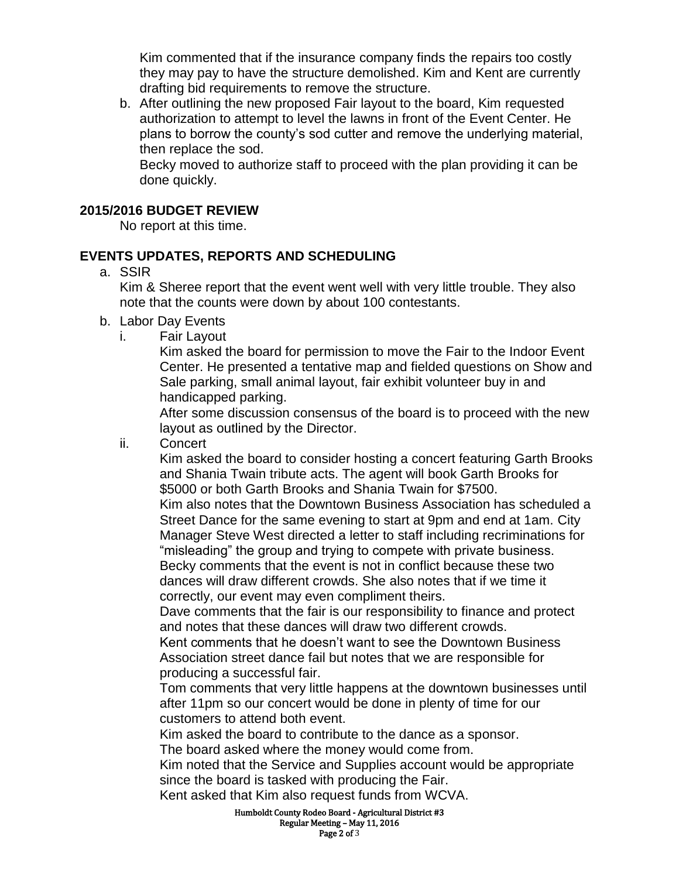Kim commented that if the insurance company finds the repairs too costly they may pay to have the structure demolished. Kim and Kent are currently drafting bid requirements to remove the structure.

b. After outlining the new proposed Fair layout to the board, Kim requested authorization to attempt to level the lawns in front of the Event Center. He plans to borrow the county's sod cutter and remove the underlying material, then replace the sod.

Becky moved to authorize staff to proceed with the plan providing it can be done quickly.

#### **2015/2016 BUDGET REVIEW**

No report at this time.

# **EVENTS UPDATES, REPORTS AND SCHEDULING**

a. SSIR

Kim & Sheree report that the event went well with very little trouble. They also note that the counts were down by about 100 contestants.

- b. Labor Day Events
	- i. Fair Layout

Kim asked the board for permission to move the Fair to the Indoor Event Center. He presented a tentative map and fielded questions on Show and Sale parking, small animal layout, fair exhibit volunteer buy in and handicapped parking.

After some discussion consensus of the board is to proceed with the new layout as outlined by the Director.

ii. Concert

Kim asked the board to consider hosting a concert featuring Garth Brooks and Shania Twain tribute acts. The agent will book Garth Brooks for \$5000 or both Garth Brooks and Shania Twain for \$7500. Kim also notes that the Downtown Business Association has scheduled a Street Dance for the same evening to start at 9pm and end at 1am. City Manager Steve West directed a letter to staff including recriminations for "misleading" the group and trying to compete with private business. Becky comments that the event is not in conflict because these two dances will draw different crowds. She also notes that if we time it

correctly, our event may even compliment theirs.

Dave comments that the fair is our responsibility to finance and protect and notes that these dances will draw two different crowds.

Kent comments that he doesn't want to see the Downtown Business Association street dance fail but notes that we are responsible for producing a successful fair.

Tom comments that very little happens at the downtown businesses until after 11pm so our concert would be done in plenty of time for our customers to attend both event.

Kim asked the board to contribute to the dance as a sponsor.

The board asked where the money would come from.

Kim noted that the Service and Supplies account would be appropriate since the board is tasked with producing the Fair.

Kent asked that Kim also request funds from WCVA.